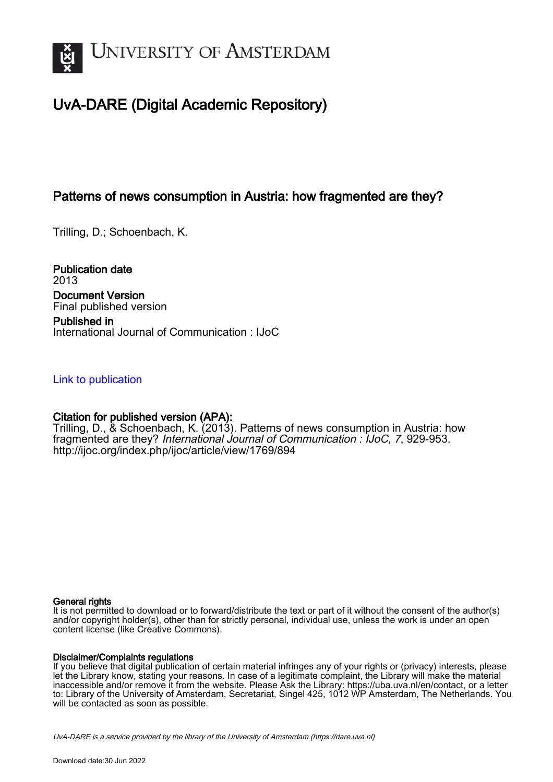

# UvA-DARE (Digital Academic Repository)

## Patterns of news consumption in Austria: how fragmented are they?

Trilling, D.; Schoenbach, K.

Publication date 2013 Document Version Final published version Published in International Journal of Communication : IJoC

## [Link to publication](https://dare.uva.nl/personal/pure/en/publications/patterns-of-news-consumption-in-austria-how-fragmented-are-they(a53523f0-f480-450a-9be8-eda2601622b4).html)

## Citation for published version (APA):

Trilling, D., & Schoenbach, K. (2013). Patterns of news consumption in Austria: how fragmented are they? International Journal of Communication : IJoC, 7, 929-953. <http://ijoc.org/index.php/ijoc/article/view/1769/894>

## General rights

It is not permitted to download or to forward/distribute the text or part of it without the consent of the author(s) and/or copyright holder(s), other than for strictly personal, individual use, unless the work is under an open content license (like Creative Commons).

## Disclaimer/Complaints regulations

If you believe that digital publication of certain material infringes any of your rights or (privacy) interests, please let the Library know, stating your reasons. In case of a legitimate complaint, the Library will make the material inaccessible and/or remove it from the website. Please Ask the Library: https://uba.uva.nl/en/contact, or a letter to: Library of the University of Amsterdam, Secretariat, Singel 425, 1012 WP Amsterdam, The Netherlands. You will be contacted as soon as possible.

UvA-DARE is a service provided by the library of the University of Amsterdam (http*s*://dare.uva.nl)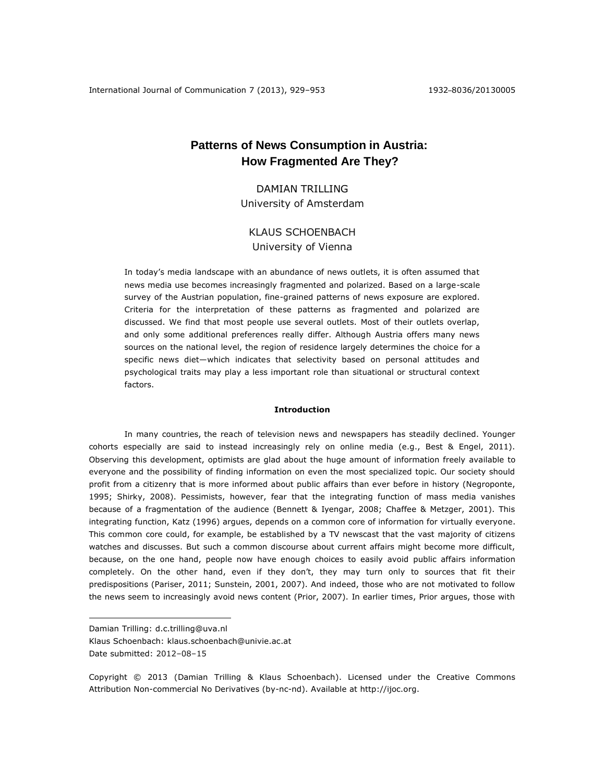## **Patterns of News Consumption in Austria: How Fragmented Are They?**

DAMIAN TRILLING University of Amsterdam

## KLAUS SCHOENBACH University of Vienna

In today's media landscape with an abundance of news outlets, it is often assumed that news media use becomes increasingly fragmented and polarized. Based on a large-scale survey of the Austrian population, fine-grained patterns of news exposure are explored. Criteria for the interpretation of these patterns as fragmented and polarized are discussed. We find that most people use several outlets. Most of their outlets overlap, and only some additional preferences really differ. Although Austria offers many news sources on the national level, the region of residence largely determines the choice for a specific news diet—which indicates that selectivity based on personal attitudes and psychological traits may play a less important role than situational or structural context factors.

#### **Introduction**

In many countries, the reach of television news and newspapers has steadily declined. Younger cohorts especially are said to instead increasingly rely on online media (e.g., Best & Engel, 2011). Observing this development, optimists are glad about the huge amount of information freely available to everyone and the possibility of finding information on even the most specialized topic. Our society should profit from a citizenry that is more informed about public affairs than ever before in history (Negroponte, 1995; Shirky, 2008). Pessimists, however, fear that the integrating function of mass media vanishes because of a fragmentation of the audience (Bennett & Iyengar, 2008; Chaffee & Metzger, 2001). This integrating function, Katz (1996) argues, depends on a common core of information for virtually everyone. This common core could, for example, be established by a TV newscast that the vast majority of citizens watches and discusses. But such a common discourse about current affairs might become more difficult, because, on the one hand, people now have enough choices to easily avoid public affairs information completely. On the other hand, even if they don't, they may turn only to sources that fit their predispositions (Pariser, 2011; Sunstein, 2001, 2007). And indeed, those who are not motivated to follow the news seem to increasingly avoid news content (Prior, 2007). In earlier times, Prior argues, those with

 $\overline{a}$ 

Damian Trilling: [d.c.trilling@uva.nl](mailto:d.c.trilling@uva.nl)

Klaus Schoenbach: [klaus.schoenbach@univie.ac.at](mailto:klaus.schoenbach@univie.ac.at) Date submitted: 2012–08–15

Copyright © 2013 (Damian Trilling & Klaus Schoenbach). Licensed under the Creative Commons Attribution Non-commercial No Derivatives (by-nc-nd). Available at http://ijoc.org.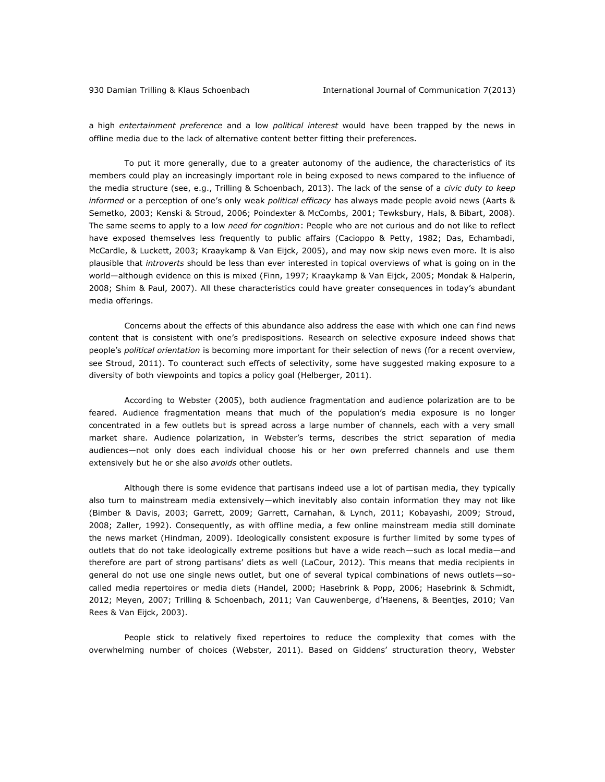a high *entertainment preference* and a low *political interest* would have been trapped by the news in offline media due to the lack of alternative content better fitting their preferences.

To put it more generally, due to a greater autonomy of the audience, the characteristics of its members could play an increasingly important role in being exposed to news compared to the influence of the media structure (see, e.g., Trilling & Schoenbach, 2013). The lack of the sense of a *civic duty to keep informed* or a perception of one's only weak *political efficacy* has always made people avoid news (Aarts & Semetko, 2003; Kenski & Stroud, 2006; Poindexter & McCombs, 2001; Tewksbury, Hals, & Bibart, 2008). The same seems to apply to a low *need for cognition*: People who are not curious and do not like to reflect have exposed themselves less frequently to public affairs (Cacioppo & Petty, 1982; Das, Echambadi, McCardle, & Luckett, 2003; Kraaykamp & Van Eijck, 2005), and may now skip news even more. It is also plausible that *introverts* should be less than ever interested in topical overviews of what is going on in the world—although evidence on this is mixed (Finn, 1997; Kraaykamp & Van Eijck, 2005; Mondak & Halperin, 2008; Shim & Paul, 2007). All these characteristics could have greater consequences in today's abundant media offerings.

Concerns about the effects of this abundance also address the ease with which one can find news content that is consistent with one's predispositions. Research on selective exposure indeed shows that people's *political orientation* is becoming more important for their selection of news (for a recent overview, see Stroud, 2011). To counteract such effects of selectivity, some have suggested making exposure to a diversity of both viewpoints and topics a policy goal (Helberger, 2011).

According to Webster (2005), both audience fragmentation and audience polarization are to be feared. Audience fragmentation means that much of the population's media exposure is no longer concentrated in a few outlets but is spread across a large number of channels, each with a very small market share. Audience polarization, in Webster's terms, describes the strict separation of media audiences—not only does each individual choose his or her own preferred channels and use them extensively but he or she also *avoids* other outlets.

Although there is some evidence that partisans indeed use a lot of partisan media, they typically also turn to mainstream media extensively—which inevitably also contain information they may not like (Bimber & Davis, 2003; Garrett, 2009; Garrett, Carnahan, & Lynch, 2011; Kobayashi, 2009; Stroud, 2008; Zaller, 1992). Consequently, as with offline media, a few online mainstream media still dominate the news market (Hindman, 2009). Ideologically consistent exposure is further limited by some types of outlets that do not take ideologically extreme positions but have a wide reach—such as local media—and therefore are part of strong partisans' diets as well (LaCour, 2012). This means that media recipients in general do not use one single news outlet, but one of several typical combinations of news outlets—socalled media repertoires or media diets (Handel, 2000; Hasebrink & Popp, 2006; Hasebrink & Schmidt, 2012; Meyen, 2007; Trilling & Schoenbach, 2011; Van Cauwenberge, d'Haenens, & Beentjes, 2010; Van Rees & Van Eijck, 2003).

People stick to relatively fixed repertoires to reduce the complexity that comes with the overwhelming number of choices (Webster, 2011). Based on Giddens' structuration theory, Webster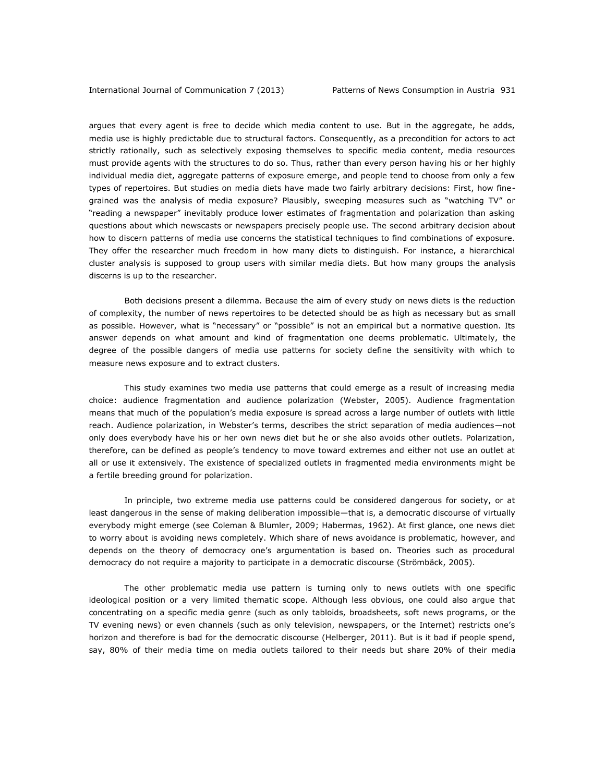argues that every agent is free to decide which media content to use. But in the aggregate, he adds, media use is highly predictable due to structural factors. Consequently, as a precondition for actors to act strictly rationally, such as selectively exposing themselves to specific media content, media resources must provide agents with the structures to do so. Thus, rather than every person having his or her highly individual media diet, aggregate patterns of exposure emerge, and people tend to choose from only a few types of repertoires. But studies on media diets have made two fairly arbitrary decisions: First, how finegrained was the analysis of media exposure? Plausibly, sweeping measures such as "watching TV" or "reading a newspaper" inevitably produce lower estimates of fragmentation and polarization than asking questions about which newscasts or newspapers precisely people use. The second arbitrary decision about how to discern patterns of media use concerns the statistical techniques to find combinations of exposure. They offer the researcher much freedom in how many diets to distinguish. For instance, a hierarchical cluster analysis is supposed to group users with similar media diets. But how many groups the analysis discerns is up to the researcher.

Both decisions present a dilemma. Because the aim of every study on news diets is the reduction of complexity, the number of news repertoires to be detected should be as high as necessary but as small as possible. However, what is "necessary" or "possible" is not an empirical but a normative question. Its answer depends on what amount and kind of fragmentation one deems problematic. Ultimately, the degree of the possible dangers of media use patterns for society define the sensitivity with which to measure news exposure and to extract clusters.

This study examines two media use patterns that could emerge as a result of increasing media choice: audience fragmentation and audience polarization (Webster, 2005). Audience fragmentation means that much of the population's media exposure is spread across a large number of outlets with little reach. Audience polarization, in Webster's terms, describes the strict separation of media audiences—not only does everybody have his or her own news diet but he or she also avoids other outlets. Polarization, therefore, can be defined as people's tendency to move toward extremes and either not use an outlet at all or use it extensively. The existence of specialized outlets in fragmented media environments might be a fertile breeding ground for polarization.

In principle, two extreme media use patterns could be considered dangerous for society, or at least dangerous in the sense of making deliberation impossible—that is, a democratic discourse of virtually everybody might emerge (see Coleman & Blumler, 2009; Habermas, 1962). At first glance, one news diet to worry about is avoiding news completely. Which share of news avoidance is problematic, however, and depends on the theory of democracy one's argumentation is based on. Theories such as procedural democracy do not require a majority to participate in a democratic discourse (Strömbäck, 2005).

The other problematic media use pattern is turning only to news outlets with one specific ideological position or a very limited thematic scope. Although less obvious, one could also argue that concentrating on a specific media genre (such as only tabloids, broadsheets, soft news programs, or the TV evening news) or even channels (such as only television, newspapers, or the Internet) restricts one's horizon and therefore is bad for the democratic discourse (Helberger, 2011). But is it bad if people spend, say, 80% of their media time on media outlets tailored to their needs but share 20% of their media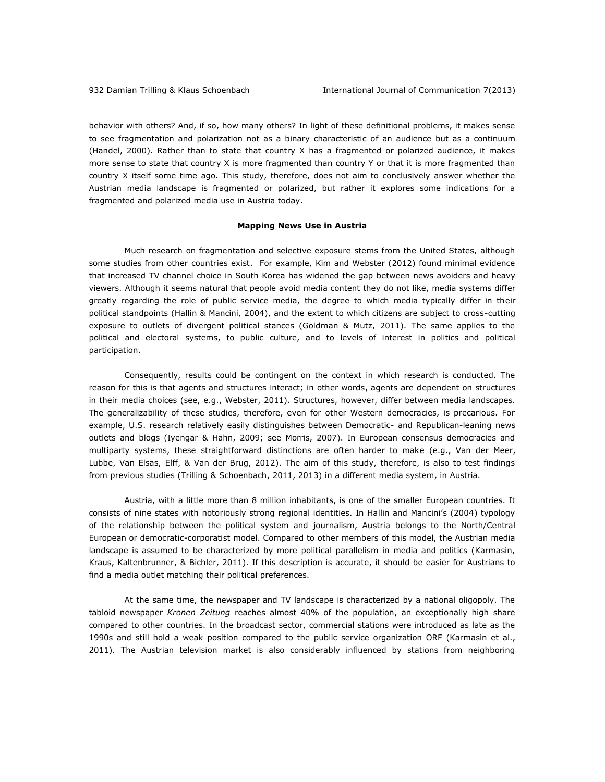behavior with others? And, if so, how many others? In light of these definitional problems, it makes sense to see fragmentation and polarization not as a binary characteristic of an audience but as a continuum (Handel, 2000). Rather than to state that country X has a fragmented or polarized audience, it makes more sense to state that country X is more fragmented than country Y or that it is more fragmented than country X itself some time ago. This study, therefore, does not aim to conclusively answer whether the Austrian media landscape is fragmented or polarized, but rather it explores some indications for a fragmented and polarized media use in Austria today.

#### **Mapping News Use in Austria**

Much research on fragmentation and selective exposure stems from the United States, although some studies from other countries exist. For example, Kim and Webster (2012) found minimal evidence that increased TV channel choice in South Korea has widened the gap between news avoiders and heavy viewers. Although it seems natural that people avoid media content they do not like, media systems differ greatly regarding the role of public service media, the degree to which media typically differ in their political standpoints (Hallin & Mancini, 2004), and the extent to which citizens are subject to cross-cutting exposure to outlets of divergent political stances (Goldman & Mutz, 2011). The same applies to the political and electoral systems, to public culture, and to levels of interest in politics and political participation.

Consequently, results could be contingent on the context in which research is conducted. The reason for this is that agents and structures interact; in other words, agents are dependent on structures in their media choices (see, e.g., Webster, 2011). Structures, however, differ between media landscapes. The generalizability of these studies, therefore, even for other Western democracies, is precarious. For example, U.S. research relatively easily distinguishes between Democratic- and Republican-leaning news outlets and blogs (Iyengar & Hahn, 2009; see Morris, 2007). In European consensus democracies and multiparty systems, these straightforward distinctions are often harder to make (e.g., Van der Meer, Lubbe, Van Elsas, Elff, & Van der Brug, 2012). The aim of this study, therefore, is also to test findings from previous studies (Trilling & Schoenbach, 2011, 2013) in a different media system, in Austria.

Austria, with a little more than 8 million inhabitants, is one of the smaller European countries. It consists of nine states with notoriously strong regional identities. In Hallin and Mancini's (2004) typology of the relationship between the political system and journalism, Austria belongs to the North/Central European or democratic-corporatist model. Compared to other members of this model, the Austrian media landscape is assumed to be characterized by more political parallelism in media and politics (Karmasin, Kraus, Kaltenbrunner, & Bichler, 2011). If this description is accurate, it should be easier for Austrians to find a media outlet matching their political preferences.

At the same time, the newspaper and TV landscape is characterized by a national oligopoly. The tabloid newspaper *Kronen Zeitung* reaches almost 40% of the population, an exceptionally high share compared to other countries. In the broadcast sector, commercial stations were introduced as late as the 1990s and still hold a weak position compared to the public service organization ORF (Karmasin et al., 2011). The Austrian television market is also considerably influenced by stations from neighboring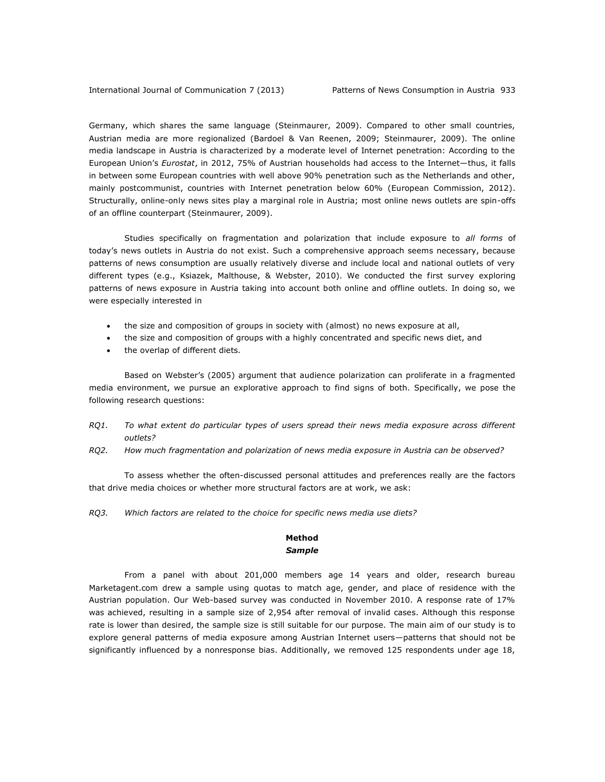Germany, which shares the same language (Steinmaurer, 2009). Compared to other small countries, Austrian media are more regionalized (Bardoel & Van Reenen, 2009; Steinmaurer, 2009). The online media landscape in Austria is characterized by a moderate level of Internet penetration: According to the European Union's *Eurostat*, in 2012, 75% of Austrian households had access to the Internet—thus, it falls in between some European countries with well above 90% penetration such as the Netherlands and other, mainly postcommunist, countries with Internet penetration below 60% (European Commission, 2012). Structurally, online-only news sites play a marginal role in Austria; most online news outlets are spin-offs of an offline counterpart (Steinmaurer, 2009).

Studies specifically on fragmentation and polarization that include exposure to *all forms* of today's news outlets in Austria do not exist. Such a comprehensive approach seems necessary, because patterns of news consumption are usually relatively diverse and include local and national outlets of very different types (e.g., Ksiazek, Malthouse, & Webster, 2010). We conducted the first survey exploring patterns of news exposure in Austria taking into account both online and offline outlets. In doing so, we were especially interested in

- the size and composition of groups in society with (almost) no news exposure at all,
- the size and composition of groups with a highly concentrated and specific news diet, and
- the overlap of different diets*.*

Based on Webster's (2005) argument that audience polarization can proliferate in a fragmented media environment, we pursue an explorative approach to find signs of both. Specifically, we pose the following research questions:

- *RQ1. To what extent do particular types of users spread their news media exposure across different outlets?*
- *RQ2. How much fragmentation and polarization of news media exposure in Austria can be observed?*

To assess whether the often-discussed personal attitudes and preferences really are the factors that drive media choices or whether more structural factors are at work, we ask:

*RQ3. Which factors are related to the choice for specific news media use diets?*

## **Method** *Sample*

From a panel with about 201,000 members age 14 years and older, research bureau Marketagent.com drew a sample using quotas to match age, gender, and place of residence with the Austrian population. Our Web-based survey was conducted in November 2010. A response rate of 17% was achieved, resulting in a sample size of 2,954 after removal of invalid cases. Although this response rate is lower than desired, the sample size is still suitable for our purpose. The main aim of our study is to explore general patterns of media exposure among Austrian Internet users—patterns that should not be significantly influenced by a nonresponse bias. Additionally, we removed 125 respondents under age 18,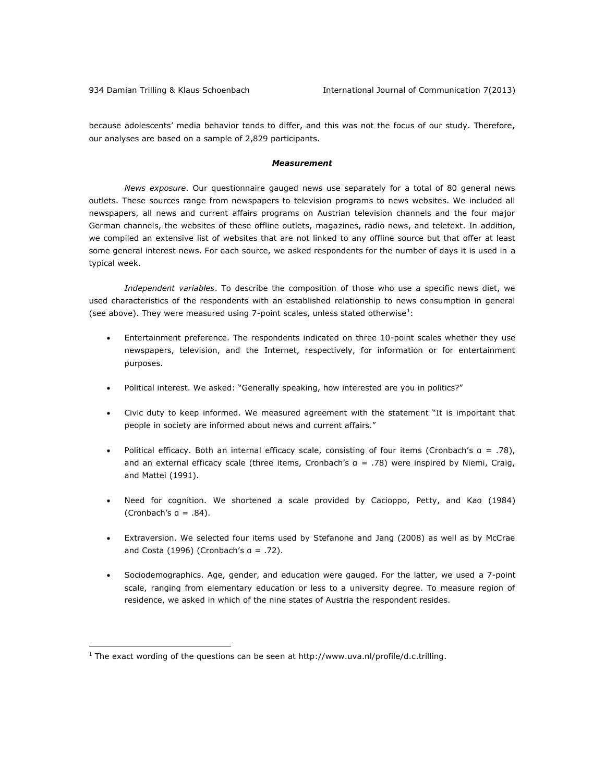because adolescents' media behavior tends to differ, and this was not the focus of our study. Therefore, our analyses are based on a sample of 2,829 participants.

#### *Measurement*

*News exposure*. Our questionnaire gauged news use separately for a total of 80 general news outlets. These sources range from newspapers to television programs to news websites. We included all newspapers, all news and current affairs programs on Austrian television channels and the four major German channels, the websites of these offline outlets, magazines, radio news, and teletext. In addition, we compiled an extensive list of websites that are not linked to any offline source but that offer at least some general interest news. For each source, we asked respondents for the number of days it is used in a typical week.

*Independent variables*. To describe the composition of those who use a specific news diet, we used characteristics of the respondents with an established relationship to news consumption in general (see above). They were measured using 7-point scales, unless stated otherwise $^1$ :

- Entertainment preference. The respondents indicated on three 10-point scales whether they use newspapers, television, and the Internet, respectively, for information or for entertainment purposes.
- Political interest. We asked: "Generally speaking, how interested are you in politics?"
- Civic duty to keep informed. We measured agreement with the statement "It is important that people in society are informed about news and current affairs."
- Political efficacy. Both an internal efficacy scale, consisting of four items (Cronbach's α = .78), and an external efficacy scale (three items, Cronbach's α = .78) were inspired by Niemi, Craig, and Mattei (1991).
- Need for cognition. We shortened a scale provided by Cacioppo, Petty, and Kao (1984) (Cronbach's  $a = .84$ ).
- Extraversion. We selected four items used by Stefanone and Jang (2008) as well as by McCrae and Costa (1996) (Cronbach's  $a = .72$ ).
- Sociodemographics. Age, gender, and education were gauged. For the latter, we used a 7-point scale, ranging from elementary education or less to a university degree. To measure region of residence, we asked in which of the nine states of Austria the respondent resides.

 $\overline{a}$ 

 $1$  The exact wording of the questions can be seen at [http://www.uva.nl/profile/d.c.trilling.](http://www.uva.nl/profile/d.c.trilling)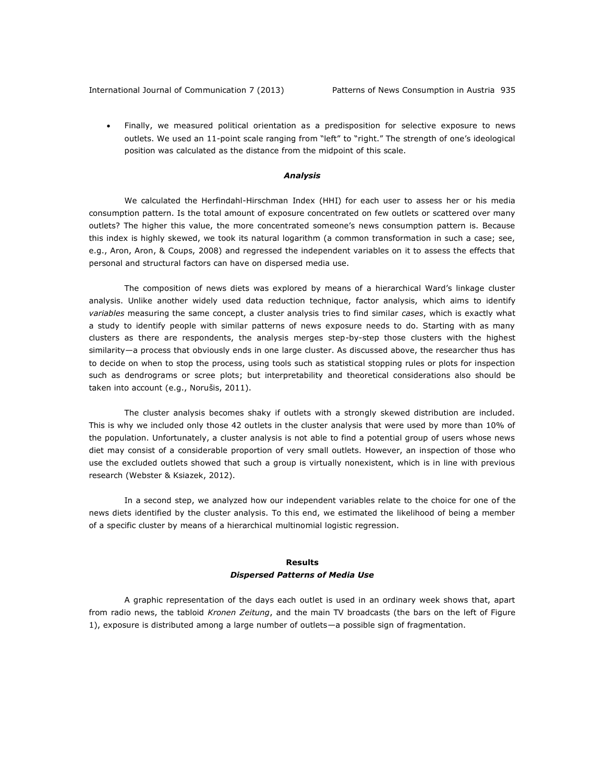International Journal of Communication 7 (2013) Patterns of News Consumption in Austria 935

 Finally, we measured political orientation as a predisposition for selective exposure to news outlets. We used an 11-point scale ranging from "left" to "right." The strength of one's ideological position was calculated as the distance from the midpoint of this scale.

#### *Analysis*

We calculated the Herfindahl-Hirschman Index (HHI) for each user to assess her or his media consumption pattern. Is the total amount of exposure concentrated on few outlets or scattered over many outlets? The higher this value, the more concentrated someone's news consumption pattern is. Because this index is highly skewed, we took its natural logarithm (a common transformation in such a case; see, e.g., Aron, Aron, & Coups, 2008) and regressed the independent variables on it to assess the effects that personal and structural factors can have on dispersed media use.

The composition of news diets was explored by means of a hierarchical Ward's linkage cluster analysis. Unlike another widely used data reduction technique, factor analysis, which aims to identify *variables* measuring the same concept, a cluster analysis tries to find similar *cases*, which is exactly what a study to identify people with similar patterns of news exposure needs to do. Starting with as many clusters as there are respondents, the analysis merges step-by-step those clusters with the highest similarity—a process that obviously ends in one large cluster. As discussed above, the researcher thus has to decide on when to stop the process, using tools such as statistical stopping rules or plots for inspection such as dendrograms or scree plots; but interpretability and theoretical considerations also should be taken into account (e.g., Norušis, 2011).

The cluster analysis becomes shaky if outlets with a strongly skewed distribution are included. This is why we included only those 42 outlets in the cluster analysis that were used by more than 10% of the population. Unfortunately, a cluster analysis is not able to find a potential group of users whose news diet may consist of a considerable proportion of very small outlets. However, an inspection of those who use the excluded outlets showed that such a group is virtually nonexistent, which is in line with previous research (Webster & Ksiazek, 2012).

In a second step, we analyzed how our independent variables relate to the choice for one of the news diets identified by the cluster analysis. To this end, we estimated the likelihood of being a member of a specific cluster by means of a hierarchical multinomial logistic regression.

## **Results** *Dispersed Patterns of Media Use*

A graphic representation of the days each outlet is used in an ordinary week shows that, apart from radio news, the tabloid *Kronen Zeitung*, and the main TV broadcasts (the bars on the left of Figure 1), exposure is distributed among a large number of outlets—a possible sign of fragmentation.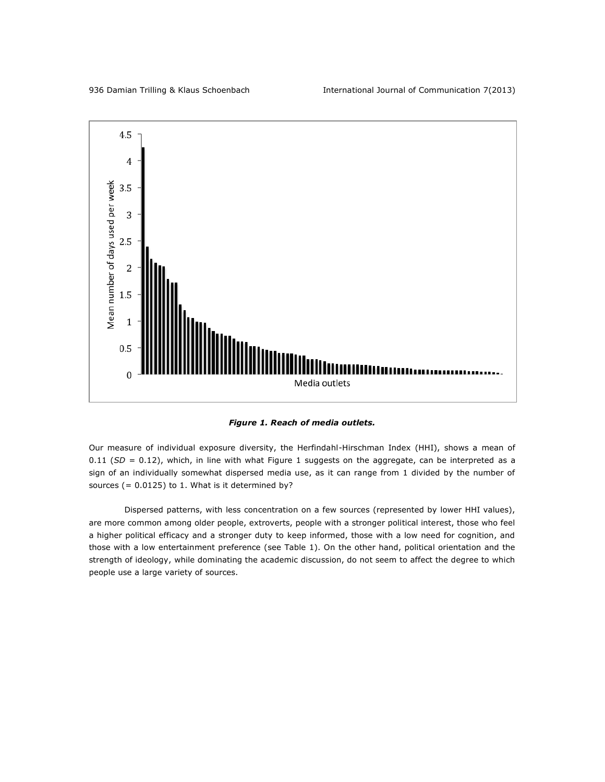

*Figure 1. Reach of media outlets.*

Our measure of individual exposure diversity, the Herfindahl-Hirschman Index (HHI), shows a mean of 0.11 (SD = 0.12), which, in line with what Figure 1 suggests on the aggregate, can be interpreted as a sign of an individually somewhat dispersed media use, as it can range from 1 divided by the number of sources  $(= 0.0125)$  to 1. What is it determined by?

Dispersed patterns, with less concentration on a few sources (represented by lower HHI values), are more common among older people, extroverts, people with a stronger political interest, those who feel a higher political efficacy and a stronger duty to keep informed, those with a low need for cognition, and those with a low entertainment preference (see Table 1). On the other hand, political orientation and the strength of ideology, while dominating the academic discussion, do not seem to affect the degree to which people use a large variety of sources.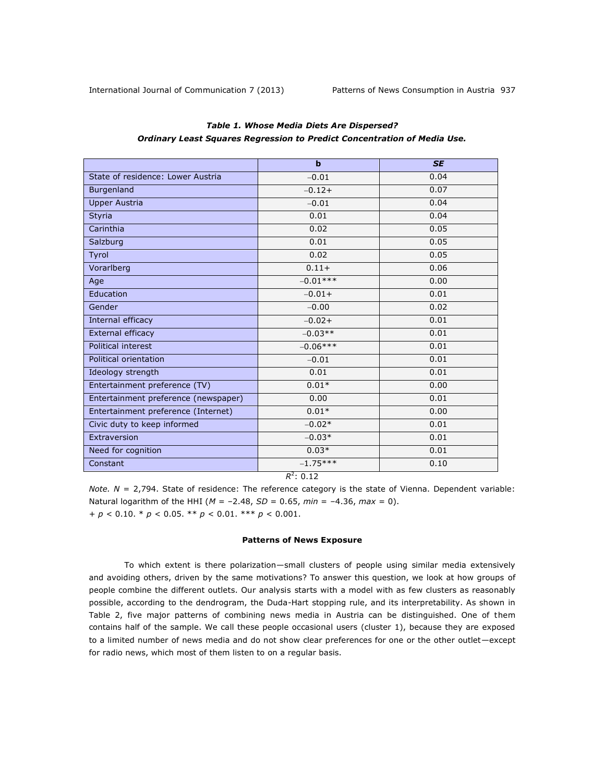|                                      | $\mathbf b$ | <b>SE</b> |  |  |
|--------------------------------------|-------------|-----------|--|--|
| State of residence: Lower Austria    | $-0.01$     | 0.04      |  |  |
| <b>Burgenland</b>                    | $-0.12+$    | 0.07      |  |  |
| <b>Upper Austria</b>                 | $-0.01$     | 0.04      |  |  |
| <b>Styria</b>                        | 0.01        | 0.04      |  |  |
| Carinthia                            | 0.02        | 0.05      |  |  |
| Salzburg                             | 0.01        | 0.05      |  |  |
| Tyrol                                | 0.02        | 0.05      |  |  |
| Vorarlberg                           | $0.11 +$    | 0.06      |  |  |
| Age                                  | $-0.01***$  | 0.00      |  |  |
| Education                            | $-0.01+$    | 0.01      |  |  |
| Gender                               | $-0.00$     | 0.02      |  |  |
| Internal efficacy                    | $-0.02+$    | 0.01      |  |  |
| External efficacy                    | $-0.03**$   | 0.01      |  |  |
| Political interest                   | $-0.06***$  | 0.01      |  |  |
| Political orientation                | $-0.01$     | 0.01      |  |  |
| Ideology strength                    | 0.01        | 0.01      |  |  |
| Entertainment preference (TV)        | $0.01*$     | 0.00      |  |  |
| Entertainment preference (newspaper) | 0.00        | 0.01      |  |  |
| Entertainment preference (Internet)  | $0.01*$     | 0.00      |  |  |
| Civic duty to keep informed          | $-0.02*$    | 0.01      |  |  |
| Extraversion                         | $-0.03*$    | 0.01      |  |  |
| Need for cognition                   | $0.03*$     | 0.01      |  |  |
| Constant                             | $-1.75***$  | 0.10      |  |  |
| $R^2$ : 0.12                         |             |           |  |  |

## *Table 1. Whose Media Diets Are Dispersed? Ordinary Least Squares Regression to Predict Concentration of Media Use.*

*Note. N* = 2,794. State of residence: The reference category is the state of Vienna. Dependent variable: Natural logarithm of the HHI (*M* = –2.48, *SD* = 0.65, *min* = –4.36, *max* = 0). + *p* < 0.10. \* *p* < 0.05. \*\* *p* < 0.01. \*\*\* *p* < 0.001.

## **Patterns of News Exposure**

To which extent is there polarization—small clusters of people using similar media extensively and avoiding others, driven by the same motivations? To answer this question, we look at how groups of people combine the different outlets. Our analysis starts with a model with as few clusters as reasonably possible, according to the dendrogram, the Duda-Hart stopping rule, and its interpretability. As shown in Table 2, five major patterns of combining news media in Austria can be distinguished. One of them contains half of the sample. We call these people occasional users (cluster 1), because they are exposed to a limited number of news media and do not show clear preferences for one or the other outlet—except for radio news, which most of them listen to on a regular basis.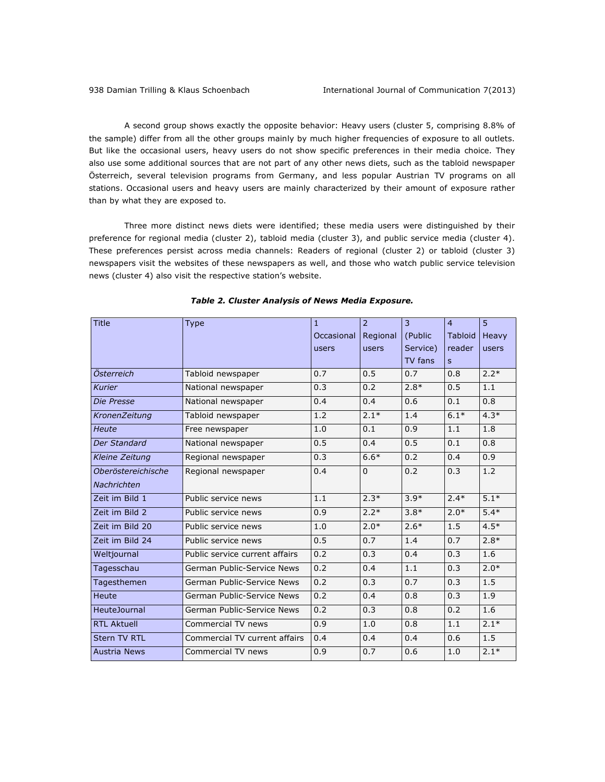A second group shows exactly the opposite behavior: Heavy users (cluster 5, comprising 8.8% of the sample) differ from all the other groups mainly by much higher frequencies of exposure to all outlets. But like the occasional users, heavy users do not show specific preferences in their media choice. They also use some additional sources that are not part of any other news diets, such as the tabloid newspaper Österreich, several television programs from Germany, and less popular Austrian TV programs on all stations. Occasional users and heavy users are mainly characterized by their amount of exposure rather than by what they are exposed to.

Three more distinct news diets were identified; these media users were distinguished by their preference for regional media (cluster 2), tabloid media (cluster 3), and public service media (cluster 4). These preferences persist across media channels: Readers of regional (cluster 2) or tabloid (cluster 3) newspapers visit the websites of these newspapers as well, and those who watch public service television news (cluster 4) also visit the respective station's website.

| <b>Title</b>        | <b>Type</b>                    | $\mathbf{1}$ | $\overline{2}$ | $\overline{3}$ | $\overline{4}$ | 5            |
|---------------------|--------------------------------|--------------|----------------|----------------|----------------|--------------|
|                     |                                | Occasional   | Regional       | (Public        | <b>Tabloid</b> | <b>Heavy</b> |
|                     |                                | users        | users          | Service)       | reader         | users        |
|                     |                                |              |                | TV fans        | S              |              |
| Österreich          | Tabloid newspaper              | 0.7          | 0.5            | 0.7            | 0.8            | $2.2*$       |
| <b>Kurier</b>       | National newspaper             | 0.3          | 0.2            | $2.8*$         | 0.5            | 1.1          |
| Die Presse          | National newspaper             | 0.4          | 0.4            | 0.6            | 0.1            | 0.8          |
| KronenZeitung       | Tabloid newspaper              | 1.2          | $2.1*$         | 1.4            | $6.1*$         | $4.3*$       |
| <b>Heute</b>        | Free newspaper                 | 1.0          | 0.1            | 0.9            | 1.1            | 1.8          |
| Der Standard        | National newspaper             | 0.5          | 0.4            | 0.5            | 0.1            | 0.8          |
| Kleine Zeitung      | Regional newspaper             | 0.3          | $6.6*$         | 0.2            | 0.4            | 0.9          |
| Oberöstereichische  | Regional newspaper             | 0.4          | $\Omega$       | 0.2            | 0.3            | 1.2          |
| Nachrichten         |                                |              |                |                |                |              |
| Zeit im Bild 1      | Public service news            | 1.1          | $2.3*$         | $3.9*$         | $2.4*$         | $5.1*$       |
| Zeit im Bild 2      | Public service news            | 0.9          | $2.2*$         | $3.8*$         | $2.0*$         | $5.4*$       |
| Zeit im Bild 20     | Public service news            | 1.0          | $2.0*$         | $2.6*$         | 1.5            | $4.5*$       |
| Zeit im Bild 24     | Public service news            | 0.5          | 0.7            | 1.4            | 0.7            | $2.8*$       |
| Weltjournal         | Public service current affairs | 0.2          | 0.3            | 0.4            | 0.3            | 1.6          |
| Tagesschau          | German Public-Service News     | 0.2          | 0.4            | 1.1            | 0.3            | $2.0*$       |
| Tagesthemen         | German Public-Service News     | 0.2          | 0.3            | 0.7            | 0.3            | 1.5          |
| Heute               | German Public-Service News     | 0.2          | 0.4            | 0.8            | 0.3            | 1.9          |
| <b>HeuteJournal</b> | German Public-Service News     | 0.2          | 0.3            | 0.8            | 0.2            | 1.6          |
| <b>RTL Aktuell</b>  | Commercial TV news             | 0.9          | 1.0            | 0.8            | 1.1            | $2.1*$       |
| <b>Stern TV RTL</b> | Commercial TV current affairs  | 0.4          | 0.4            | 0.4            | 0.6            | 1.5          |
| <b>Austria News</b> | Commercial TV news             | 0.9          | 0.7            | 0.6            | 1.0            | $2.1*$       |

### *Table 2. Cluster Analysis of News Media Exposure.*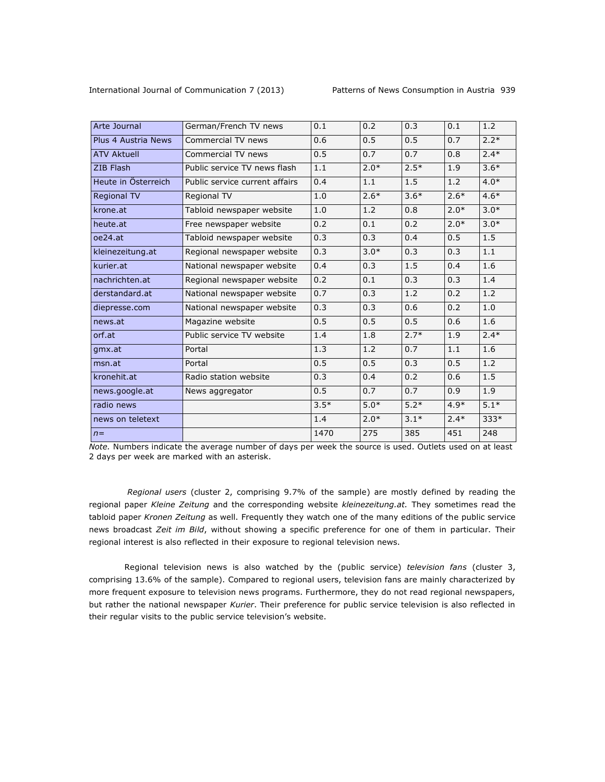| Arte Journal        | German/French TV news          | 0.1    | 0.2    | 0.3    | 0.1    | 1.2    |
|---------------------|--------------------------------|--------|--------|--------|--------|--------|
| Plus 4 Austria News | Commercial TV news             | 0.6    | 0.5    | 0.5    | 0.7    | $2.2*$ |
| <b>ATV Aktuell</b>  | Commercial TV news             | 0.5    | 0.7    | 0.7    | 0.8    | $2.4*$ |
| ZIB Flash           | Public service TV news flash   | 1.1    | $2.0*$ | $2.5*$ | 1.9    | $3.6*$ |
| Heute in Österreich | Public service current affairs | 0.4    | 1.1    | 1.5    | 1.2    | $4.0*$ |
| <b>Regional TV</b>  | Regional TV                    | 1.0    | $2.6*$ | $3.6*$ | $2.6*$ | $4.6*$ |
| krone.at            | Tabloid newspaper website      | 1.0    | 1.2    | 0.8    | $2.0*$ | $3.0*$ |
| heute.at            | Free newspaper website         | 0.2    | 0.1    | 0.2    | $2.0*$ | $3.0*$ |
| oe24.at             | Tabloid newspaper website      | 0.3    | 0.3    | 0.4    | 0.5    | 1.5    |
| kleinezeitung.at    | Regional newspaper website     | 0.3    | $3.0*$ | 0.3    | 0.3    | 1.1    |
| kurier.at           | National newspaper website     | 0.4    | 0.3    | 1.5    | 0.4    | 1.6    |
| nachrichten.at      | Regional newspaper website     | 0.2    | 0.1    | 0.3    | 0.3    | 1.4    |
| derstandard.at      | National newspaper website     | 0.7    | 0.3    | 1.2    | 0.2    | 1.2    |
| diepresse.com       | National newspaper website     | 0.3    | 0.3    | 0.6    | 0.2    | 1.0    |
| news.at             | Magazine website               | 0.5    | 0.5    | 0.5    | 0.6    | 1.6    |
| orf.at              | Public service TV website      | 1.4    | 1.8    | $2.7*$ | 1.9    | $2.4*$ |
| gmx.at              | Portal                         | 1.3    | 1.2    | 0.7    | 1.1    | 1.6    |
| msn.at              | Portal                         | 0.5    | 0.5    | 0.3    | 0.5    | 1.2    |
| kronehit.at         | Radio station website          | 0.3    | 0.4    | 0.2    | 0.6    | 1.5    |
| news.google.at      | News aggregator                | 0.5    | 0.7    | 0.7    | 0.9    | 1.9    |
| radio news          |                                | $3.5*$ | $5.0*$ | $5.2*$ | $4.9*$ | $5.1*$ |
| news on teletext    |                                | 1.4    | $2.0*$ | $3.1*$ | $2.4*$ | $333*$ |
| $n =$               |                                | 1470   | 275    | 385    | 451    | 248    |
|                     |                                |        |        |        |        |        |

*Note.* Numbers indicate the average number of days per week the source is used. Outlets used on at least 2 days per week are marked with an asterisk.

*Regional users* (cluster 2, comprising 9.7% of the sample) are mostly defined by reading the regional paper *Kleine Zeitung* and the corresponding website *kleinezeitung.at.* They sometimes read the tabloid paper *Kronen Zeitung* as well. Frequently they watch one of the many editions of the public service news broadcast *Zeit im Bild*, without showing a specific preference for one of them in particular. Their regional interest is also reflected in their exposure to regional television news.

Regional television news is also watched by the (public service) *television fans* (cluster 3, comprising 13.6% of the sample). Compared to regional users, television fans are mainly characterized by more frequent exposure to television news programs. Furthermore, they do not read regional newspapers, but rather the national newspaper *Kurier*. Their preference for public service television is also reflected in their regular visits to the public service television's website.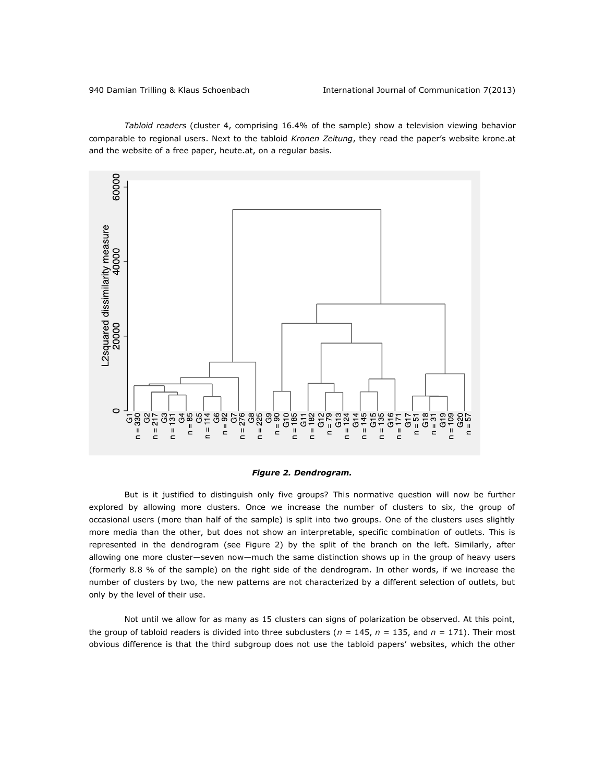*Tabloid readers* (cluster 4, comprising 16.4% of the sample) show a television viewing behavior comparable to regional users. Next to the tabloid *Kronen Zeitung*, they read the paper's website krone.at and the website of a free paper, heute.at, on a regular basis.



#### *Figure 2. Dendrogram.*

But is it justified to distinguish only five groups? This normative question will now be further explored by allowing more clusters. Once we increase the number of clusters to six, the group of occasional users (more than half of the sample) is split into two groups. One of the clusters uses slightly more media than the other, but does not show an interpretable, specific combination of outlets. This is represented in the dendrogram (see Figure 2) by the split of the branch on the left. Similarly, after allowing one more cluster—seven now—much the same distinction shows up in the group of heavy users (formerly 8.8 % of the sample) on the right side of the dendrogram. In other words, if we increase the number of clusters by two, the new patterns are not characterized by a different selection of outlets, but only by the level of their use.

Not until we allow for as many as 15 clusters can signs of polarization be observed. At this point, the group of tabloid readers is divided into three subclusters ( $n = 145$ ,  $n = 135$ , and  $n = 171$ ). Their most obvious difference is that the third subgroup does not use the tabloid papers' websites, which the other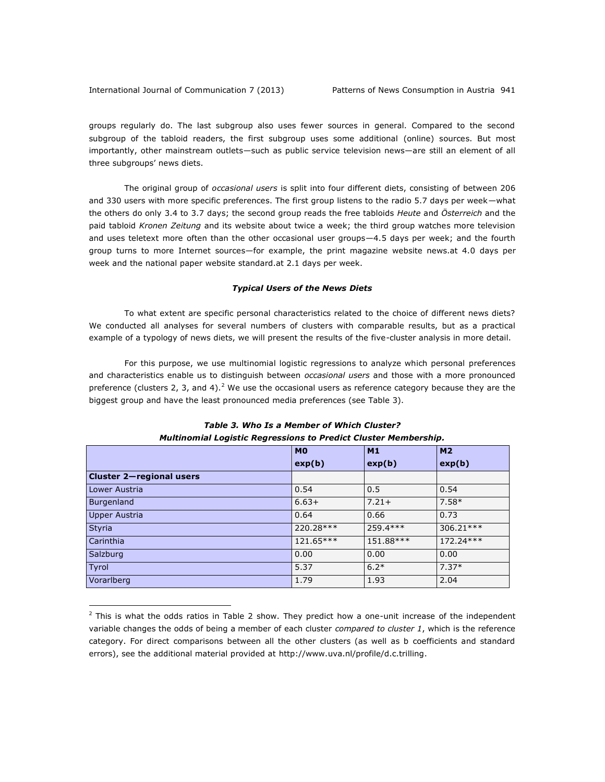$\overline{a}$ 

groups regularly do. The last subgroup also uses fewer sources in general. Compared to the second subgroup of the tabloid readers, the first subgroup uses some additional (online) sources. But most importantly, other mainstream outlets—such as public service television news—are still an element of all three subgroups' news diets.

The original group of *occasional users* is split into four different diets, consisting of between 206 and 330 users with more specific preferences. The first group listens to the radio 5.7 days per week—what the others do only 3.4 to 3.7 days; the second group reads the free tabloids *Heute* and *Österreich* and the paid tabloid *Kronen Zeitung* and its website about twice a week; the third group watches more television and uses teletext more often than the other occasional user groups—4.5 days per week; and the fourth group turns to more Internet sources—for example, the print magazine website news.at 4.0 days per week and the national paper website standard.at 2.1 days per week.

#### *Typical Users of the News Diets*

To what extent are specific personal characteristics related to the choice of different news diets? We conducted all analyses for several numbers of clusters with comparable results, but as a practical example of a typology of news diets, we will present the results of the five-cluster analysis in more detail.

For this purpose, we use multinomial logistic regressions to analyze which personal preferences and characteristics enable us to distinguish between *occasional users* and those with a more pronounced preference (clusters 2, 3, and 4).<sup>2</sup> We use the occasional users as reference category because they are the biggest group and have the least pronounced media preferences (see Table 3).

|                          | M <sub>0</sub> | M1        | M <sub>2</sub> |
|--------------------------|----------------|-----------|----------------|
|                          | exp(b)         | exp(b)    | exp(b)         |
| Cluster 2-regional users |                |           |                |
| Lower Austria            | 0.54           | 0.5       | 0.54           |
| Burgenland               | $6.63+$        | $7.21+$   | $7.58*$        |
| <b>Upper Austria</b>     | 0.64           | 0.66      | 0.73           |
| Styria                   | 220.28***      | 259.4***  | 306.21***      |
| Carinthia                | 121.65***      | 151.88*** | 172.24 ***     |
| Salzburg                 | 0.00           | 0.00      | 0.00           |
| Tyrol                    | 5.37           | $6.2*$    | $7.37*$        |
| Vorarlberg               | 1.79           | 1.93      | 2.04           |

### *Table 3. Who Is a Member of Which Cluster? Multinomial Logistic Regressions to Predict Cluster Membership.*

<sup>&</sup>lt;sup>2</sup> This is what the odds ratios in Table 2 show. They predict how a one-unit increase of the independent variable changes the odds of being a member of each cluster *compared to cluster 1*, which is the reference category. For direct comparisons between all the other clusters (as well as b coefficients and standard errors), see the additional material provided at [http://www.uva.nl/profile/d.c.trilling.](http://www.uva.nl/profile/d.c.trilling)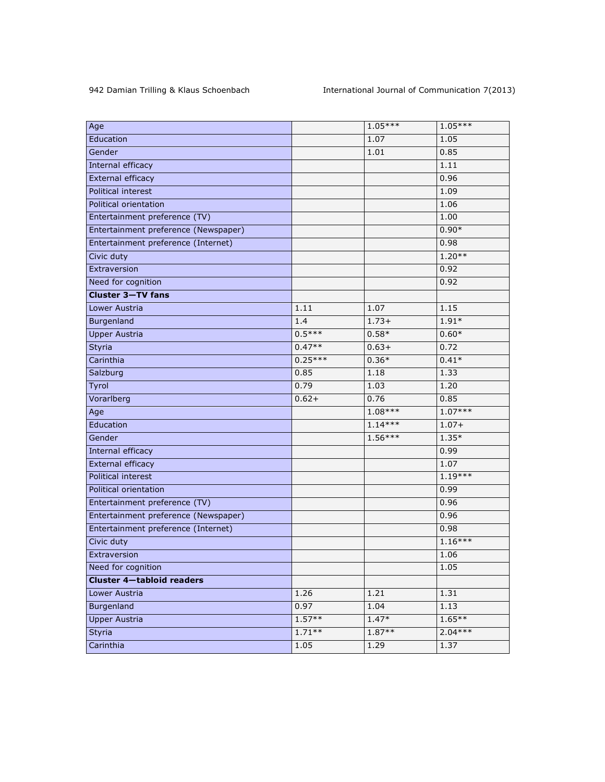| Age                                  |           | $1.05***$ | $1.05***$ |
|--------------------------------------|-----------|-----------|-----------|
| Education                            |           | 1.07      | 1.05      |
| Gender                               |           | 1.01      | 0.85      |
| Internal efficacy                    |           |           | 1.11      |
| External efficacy                    |           |           | 0.96      |
| Political interest                   |           |           | 1.09      |
| Political orientation                |           |           | 1.06      |
| Entertainment preference (TV)        |           |           | 1.00      |
| Entertainment preference (Newspaper) |           |           | $0.90*$   |
| Entertainment preference (Internet)  |           |           | 0.98      |
| Civic duty                           |           |           | $1.20**$  |
| Extraversion                         |           |           | 0.92      |
| Need for cognition                   |           |           | 0.92      |
| <b>Cluster 3-TV fans</b>             |           |           |           |
| Lower Austria                        | 1.11      | 1.07      | 1.15      |
| Burgenland                           | 1.4       | $1.73+$   | $1.91*$   |
| <b>Upper Austria</b>                 | $0.5***$  | $0.58*$   | $0.60*$   |
| Styria                               | $0.47**$  | $0.63+$   | 0.72      |
| Carinthia                            | $0.25***$ | $0.36*$   | $0.41*$   |
| Salzburg                             | 0.85      | 1.18      | 1.33      |
| Tyrol                                | 0.79      | 1.03      | 1.20      |
| Vorarlberg                           | $0.62 +$  | 0.76      | 0.85      |
| Age                                  |           | $1.08***$ | $1.07***$ |
| Education                            |           | $1.14***$ | $1.07 +$  |
| Gender                               |           | $1.56***$ | $1.35*$   |
| <b>Internal efficacy</b>             |           |           | 0.99      |
| External efficacy                    |           |           | 1.07      |
| Political interest                   |           |           | $1.19***$ |
| Political orientation                |           |           | 0.99      |
| Entertainment preference (TV)        |           |           | 0.96      |
| Entertainment preference (Newspaper) |           |           | 0.96      |
| Entertainment preference (Internet)  |           |           | 0.98      |
| Civic duty                           |           |           | $1.16***$ |
| Extraversion                         |           |           | 1.06      |
| Need for cognition                   |           |           | 1.05      |
| <b>Cluster 4-tabloid readers</b>     |           |           |           |
| Lower Austria                        | 1.26      | 1.21      | 1.31      |
| Burgenland                           | 0.97      | 1.04      | 1.13      |
| <b>Upper Austria</b>                 | $1.57**$  | $1.47*$   | $1.65***$ |
| Styria                               | $1.71**$  | $1.87**$  | $2.04***$ |
| Carinthia                            | 1.05      | 1.29      | 1.37      |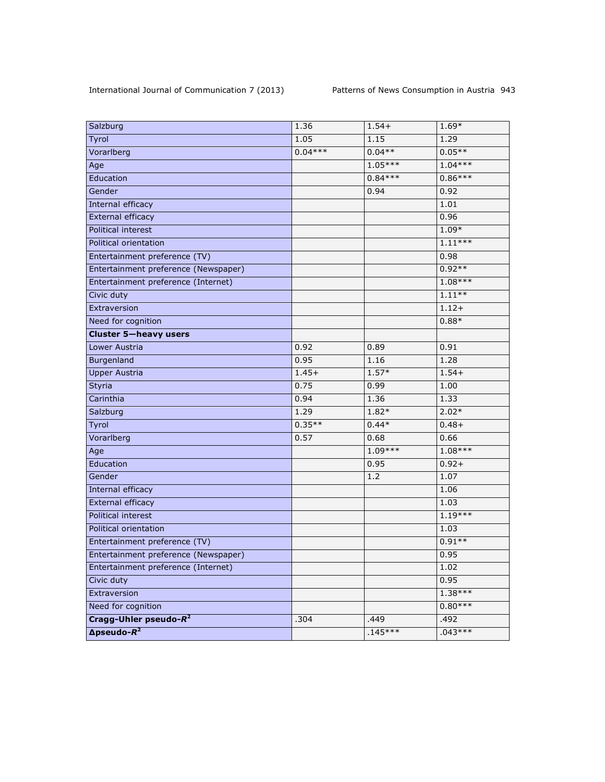| Salzburg                             | 1.36      | $1.54+$   | 1.69*     |
|--------------------------------------|-----------|-----------|-----------|
| Tyrol                                | 1.05      | 1.15      | 1.29      |
| Vorarlberg                           | $0.04***$ | $0.04**$  | $0.05**$  |
| Age                                  |           | $1.05***$ | $1.04***$ |
| Education                            |           | $0.84***$ | $0.86***$ |
| Gender                               |           | 0.94      | 0.92      |
| Internal efficacy                    |           |           | 1.01      |
| External efficacy                    |           |           | 0.96      |
| Political interest                   |           |           | $1.09*$   |
| Political orientation                |           |           | $1.11***$ |
| Entertainment preference (TV)        |           |           | 0.98      |
| Entertainment preference (Newspaper) |           |           | $0.92**$  |
| Entertainment preference (Internet)  |           |           | $1.08***$ |
| Civic duty                           |           |           | $1.11***$ |
| Extraversion                         |           |           | $1.12+$   |
| Need for cognition                   |           |           | $0.88*$   |
| <b>Cluster 5-heavy users</b>         |           |           |           |
| Lower Austria                        | 0.92      | 0.89      | 0.91      |
| Burgenland                           | 0.95      | 1.16      | 1.28      |
| <b>Upper Austria</b>                 | $1.45+$   | $1.57*$   | $1.54+$   |
| <b>Styria</b>                        | 0.75      | 0.99      | 1.00      |
| Carinthia                            | 0.94      | 1.36      | 1.33      |
| Salzburg                             | 1.29      | 1.82*     | $2.02*$   |
| Tyrol                                | $0.35**$  | $0.44*$   | $0.48 +$  |
| Vorarlberg                           | 0.57      | 0.68      | 0.66      |
| Age                                  |           | $1.09***$ | $1.08***$ |
| Education                            |           | 0.95      | $0.92 +$  |
| Gender                               |           | 1.2       | 1.07      |
| Internal efficacy                    |           |           | 1.06      |
| External efficacy                    |           |           | 1.03      |
| Political interest                   |           |           | $1.19***$ |
| Political orientation                |           |           | 1.03      |
| Entertainment preference (TV)        |           |           | $0.91**$  |
| Entertainment preference (Newspaper) |           |           | 0.95      |
| Entertainment preference (Internet)  |           |           | 1.02      |
| Civic duty                           |           |           | 0.95      |
| Extraversion                         |           |           | $1.38***$ |
| Need for cognition                   |           |           | $0.80***$ |
| Cragg-Uhler pseudo- $R^2$            | .304      | .449      | .492      |
| $\Delta$ pseudo- $R^2$               |           | $.145***$ | $.043***$ |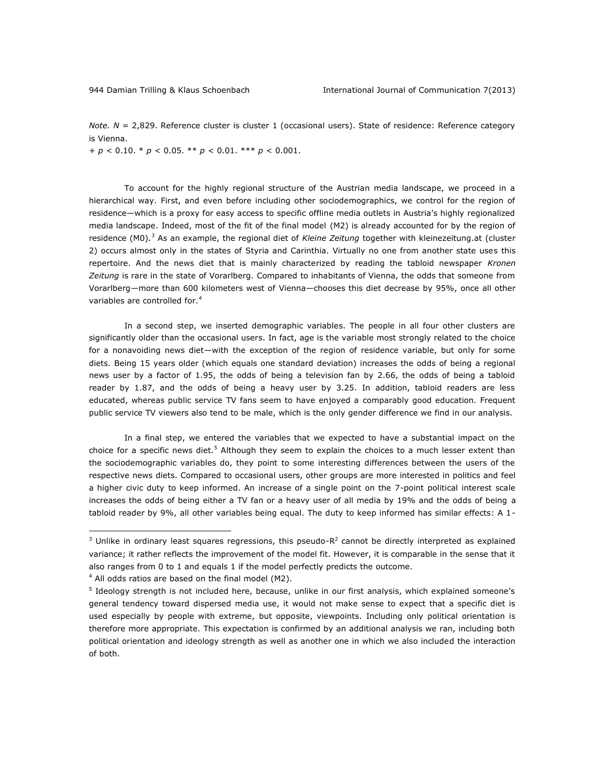*Note. N* = 2,829. Reference cluster is cluster 1 (occasional users). State of residence: Reference category is Vienna.

+ *p* < 0.10. \* *p* < 0.05. \*\* *p* < 0.01. \*\*\* *p* < 0.001.

To account for the highly regional structure of the Austrian media landscape, we proceed in a hierarchical way. First, and even before including other sociodemographics, we control for the region of residence—which is a proxy for easy access to specific offline media outlets in Austria's highly regionalized media landscape. Indeed, most of the fit of the final model (M2) is already accounted for by the region of residence (M0).<sup>3</sup> As an example, the regional diet of Kleine Zeitung together with kleinezeitung.at (cluster 2) occurs almost only in the states of Styria and Carinthia. Virtually no one from another state uses this repertoire. And the news diet that is mainly characterized by reading the tabloid newspaper *Kronen Zeitung* is rare in the state of Vorarlberg. Compared to inhabitants of Vienna, the odds that someone from Vorarlberg—more than 600 kilometers west of Vienna—chooses this diet decrease by 95%, once all other variables are controlled for.<sup>4</sup>

In a second step, we inserted demographic variables. The people in all four other clusters are significantly older than the occasional users. In fact, age is the variable most strongly related to the choice for a nonavoiding news diet—with the exception of the region of residence variable, but only for some diets. Being 15 years older (which equals one standard deviation) increases the odds of being a regional news user by a factor of 1.95, the odds of being a television fan by 2.66, the odds of being a tabloid reader by 1.87, and the odds of being a heavy user by 3.25. In addition, tabloid readers are less educated, whereas public service TV fans seem to have enjoyed a comparably good education. Frequent public service TV viewers also tend to be male, which is the only gender difference we find in our analysis.

In a final step, we entered the variables that we expected to have a substantial impact on the choice for a specific news diet.<sup>5</sup> Although they seem to explain the choices to a much lesser extent than the sociodemographic variables do, they point to some interesting differences between the users of the respective news diets. Compared to occasional users, other groups are more interested in politics and feel a higher civic duty to keep informed. An increase of a single point on the 7-point political interest scale increases the odds of being either a TV fan or a heavy user of all media by 19% and the odds of being a tabloid reader by 9%, all other variables being equal. The duty to keep informed has similar effects: A 1-

 $\overline{a}$ 

 $3$  Unlike in ordinary least squares regressions, this pseudo-R<sup>2</sup> cannot be directly interpreted as explained variance; it rather reflects the improvement of the model fit. However, it is comparable in the sense that it also ranges from 0 to 1 and equals 1 if the model perfectly predicts the outcome.

 $4$  All odds ratios are based on the final model (M2).

<sup>&</sup>lt;sup>5</sup> Ideology strength is not included here, because, unlike in our first analysis, which explained someone's general tendency toward dispersed media use, it would not make sense to expect that a specific diet is used especially by people with extreme, but opposite, viewpoints. Including only political orientation is therefore more appropriate. This expectation is confirmed by an additional analysis we ran, including both political orientation and ideology strength as well as another one in which we also included the interaction of both.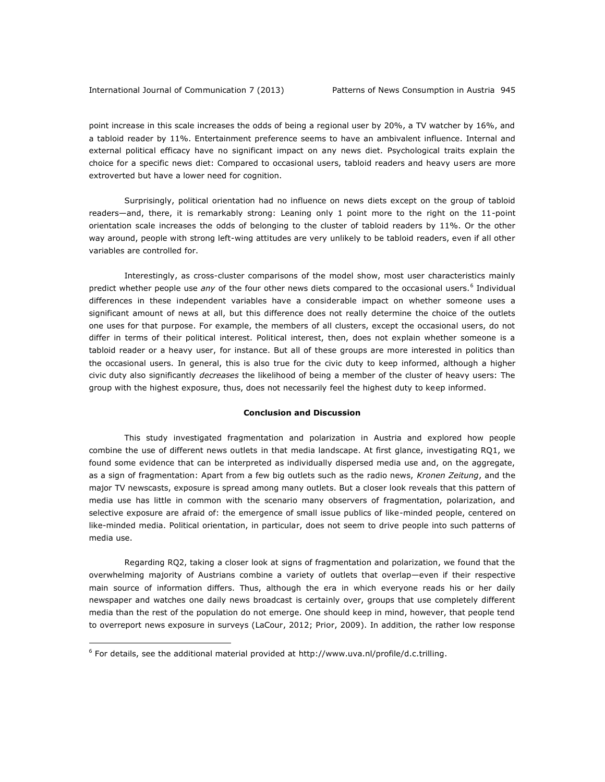point increase in this scale increases the odds of being a regional user by 20%, a TV watcher by 16%, and a tabloid reader by 11%. Entertainment preference seems to have an ambivalent influence. Internal and external political efficacy have no significant impact on any news diet. Psychological traits explain the choice for a specific news diet: Compared to occasional users, tabloid readers and heavy users are more extroverted but have a lower need for cognition.

Surprisingly, political orientation had no influence on news diets except on the group of tabloid readers—and, there, it is remarkably strong: Leaning only 1 point more to the right on the 11-point orientation scale increases the odds of belonging to the cluster of tabloid readers by 11%. Or the other way around, people with strong left-wing attitudes are very unlikely to be tabloid readers, even if all other variables are controlled for.

Interestingly, as cross-cluster comparisons of the model show, most user characteristics mainly predict whether people use any of the four other news diets compared to the occasional users.<sup>6</sup> Individual differences in these independent variables have a considerable impact on whether someone uses a significant amount of news at all, but this difference does not really determine the choice of the outlets one uses for that purpose. For example, the members of all clusters, except the occasional users, do not differ in terms of their political interest. Political interest, then, does not explain whether someone is a tabloid reader or a heavy user, for instance. But all of these groups are more interested in politics than the occasional users. In general, this is also true for the civic duty to keep informed, although a higher civic duty also significantly *decreases* the likelihood of being a member of the cluster of heavy users: The group with the highest exposure, thus, does not necessarily feel the highest duty to keep informed.

#### **Conclusion and Discussion**

This study investigated fragmentation and polarization in Austria and explored how people combine the use of different news outlets in that media landscape. At first glance, investigating RQ1, we found some evidence that can be interpreted as individually dispersed media use and, on the aggregate, as a sign of fragmentation: Apart from a few big outlets such as the radio news, *Kronen Zeitung*, and the major TV newscasts, exposure is spread among many outlets. But a closer look reveals that this pattern of media use has little in common with the scenario many observers of fragmentation, polarization, and selective exposure are afraid of: the emergence of small issue publics of like-minded people, centered on like-minded media. Political orientation, in particular, does not seem to drive people into such patterns of media use.

Regarding RQ2, taking a closer look at signs of fragmentation and polarization, we found that the overwhelming majority of Austrians combine a variety of outlets that overlap—even if their respective main source of information differs. Thus, although the era in which everyone reads his or her daily newspaper and watches one daily news broadcast is certainly over, groups that use completely different media than the rest of the population do not emerge. One should keep in mind, however, that people tend to overreport news exposure in surveys (LaCour, 2012; Prior, 2009). In addition, the rather low response

 $\overline{a}$ 

 $6$  For details, see the additional material provided at [http://www.uva.nl/profile/d.c.trilling.](http://www.uva.nl/profile/d.c.trilling)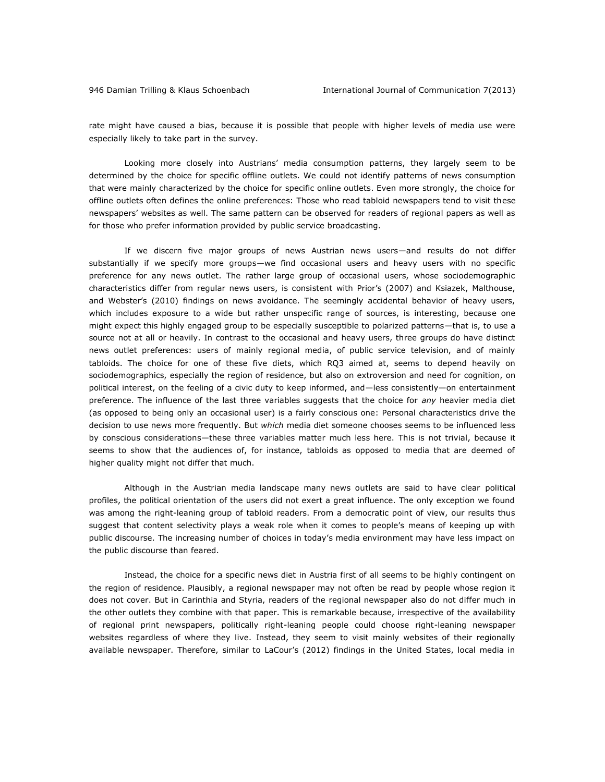rate might have caused a bias, because it is possible that people with higher levels of media use were especially likely to take part in the survey.

Looking more closely into Austrians' media consumption patterns, they largely seem to be determined by the choice for specific offline outlets. We could not identify patterns of news consumption that were mainly characterized by the choice for specific online outlets. Even more strongly, the choice for offline outlets often defines the online preferences: Those who read tabloid newspapers tend to visit these newspapers' websites as well. The same pattern can be observed for readers of regional papers as well as for those who prefer information provided by public service broadcasting.

If we discern five major groups of news Austrian news users—and results do not differ substantially if we specify more groups—we find occasional users and heavy users with no specific preference for any news outlet. The rather large group of occasional users, whose sociodemographic characteristics differ from regular news users, is consistent with Prior's (2007) and Ksiazek, Malthouse, and Webster's (2010) findings on news avoidance. The seemingly accidental behavior of heavy users, which includes exposure to a wide but rather unspecific range of sources, is interesting, because one might expect this highly engaged group to be especially susceptible to polarized patterns—that is, to use a source not at all or heavily. In contrast to the occasional and heavy users, three groups do have distinct news outlet preferences: users of mainly regional media, of public service television, and of mainly tabloids. The choice for one of these five diets, which RQ3 aimed at, seems to depend heavily on sociodemographics, especially the region of residence, but also on extroversion and need for cognition, on political interest, on the feeling of a civic duty to keep informed, and—less consistently—on entertainment preference. The influence of the last three variables suggests that the choice for *any* heavier media diet (as opposed to being only an occasional user) is a fairly conscious one: Personal characteristics drive the decision to use news more frequently. But *which* media diet someone chooses seems to be influenced less by conscious considerations—these three variables matter much less here. This is not trivial, because it seems to show that the audiences of, for instance, tabloids as opposed to media that are deemed of higher quality might not differ that much.

Although in the Austrian media landscape many news outlets are said to have clear political profiles, the political orientation of the users did not exert a great influence. The only exception we found was among the right-leaning group of tabloid readers. From a democratic point of view, our results thus suggest that content selectivity plays a weak role when it comes to people's means of keeping up with public discourse. The increasing number of choices in today's media environment may have less impact on the public discourse than feared.

Instead, the choice for a specific news diet in Austria first of all seems to be highly contingent on the region of residence. Plausibly, a regional newspaper may not often be read by people whose region it does not cover. But in Carinthia and Styria, readers of the regional newspaper also do not differ much in the other outlets they combine with that paper. This is remarkable because, irrespective of the availability of regional print newspapers, politically right-leaning people could choose right-leaning newspaper websites regardless of where they live. Instead, they seem to visit mainly websites of their regionally available newspaper. Therefore, similar to LaCour's (2012) findings in the United States, local media in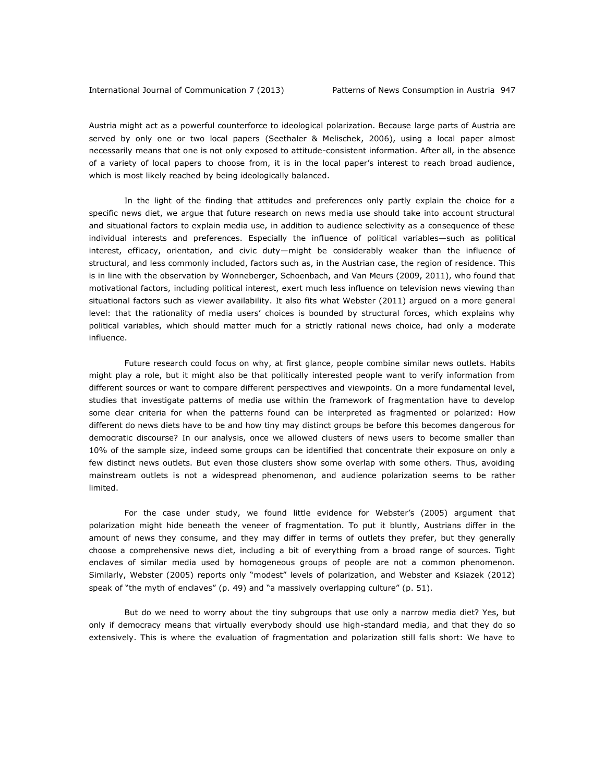Austria might act as a powerful counterforce to ideological polarization. Because large parts of Austria are served by only one or two local papers (Seethaler & Melischek, 2006), using a local paper almost necessarily means that one is not only exposed to attitude-consistent information. After all, in the absence of a variety of local papers to choose from, it is in the local paper's interest to reach broad audience, which is most likely reached by being ideologically balanced.

In the light of the finding that attitudes and preferences only partly explain the choice for a specific news diet, we argue that future research on news media use should take into account structural and situational factors to explain media use, in addition to audience selectivity as a consequence of these individual interests and preferences. Especially the influence of political variables—such as political interest, efficacy, orientation, and civic duty—might be considerably weaker than the influence of structural, and less commonly included, factors such as, in the Austrian case, the region of residence. This is in line with the observation by Wonneberger, Schoenbach, and Van Meurs (2009, 2011), who found that motivational factors, including political interest, exert much less influence on television news viewing than situational factors such as viewer availability. It also fits what Webster (2011) argued on a more general level: that the rationality of media users' choices is bounded by structural forces, which explains why political variables, which should matter much for a strictly rational news choice, had only a moderate influence.

Future research could focus on why, at first glance, people combine similar news outlets. Habits might play a role, but it might also be that politically interested people want to verify information from different sources or want to compare different perspectives and viewpoints. On a more fundamental level, studies that investigate patterns of media use within the framework of fragmentation have to develop some clear criteria for when the patterns found can be interpreted as fragmented or polarized: How different do news diets have to be and how tiny may distinct groups be before this becomes dangerous for democratic discourse? In our analysis, once we allowed clusters of news users to become smaller than 10% of the sample size, indeed some groups can be identified that concentrate their exposure on only a few distinct news outlets. But even those clusters show some overlap with some others. Thus, avoiding mainstream outlets is not a widespread phenomenon, and audience polarization seems to be rather limited.

For the case under study, we found little evidence for Webster's (2005) argument that polarization might hide beneath the veneer of fragmentation. To put it bluntly, Austrians differ in the amount of news they consume, and they may differ in terms of outlets they prefer, but they generally choose a comprehensive news diet, including a bit of everything from a broad range of sources. Tight enclaves of similar media used by homogeneous groups of people are not a common phenomenon. Similarly, Webster (2005) reports only "modest" levels of polarization, and Webster and Ksiazek (2012) speak of "the myth of enclaves" (p. 49) and "a massively overlapping culture" (p. 51).

But do we need to worry about the tiny subgroups that use only a narrow media diet? Yes, but only if democracy means that virtually everybody should use high-standard media, and that they do so extensively. This is where the evaluation of fragmentation and polarization still falls short: We have to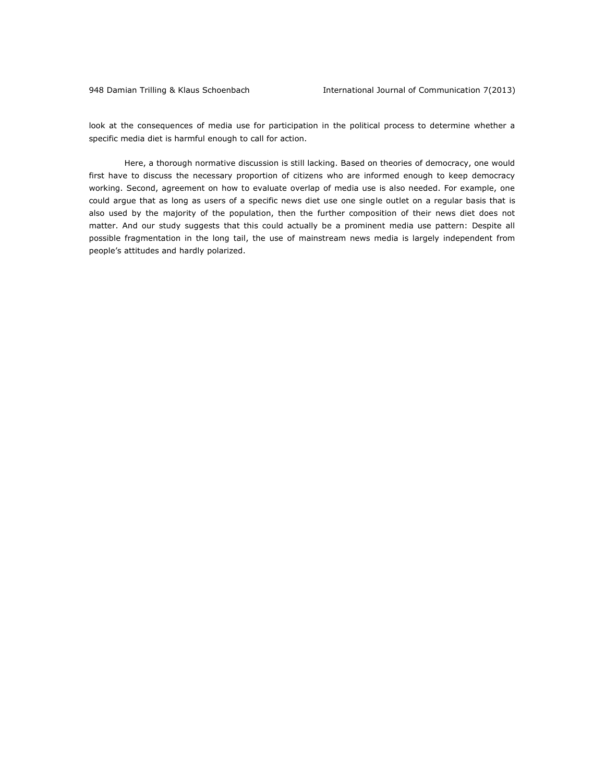look at the consequences of media use for participation in the political process to determine whether a specific media diet is harmful enough to call for action.

Here, a thorough normative discussion is still lacking. Based on theories of democracy, one would first have to discuss the necessary proportion of citizens who are informed enough to keep democracy working. Second, agreement on how to evaluate overlap of media use is also needed. For example, one could argue that as long as users of a specific news diet use one single outlet on a regular basis that is also used by the majority of the population, then the further composition of their news diet does not matter. And our study suggests that this could actually be a prominent media use pattern: Despite all possible fragmentation in the long tail, the use of mainstream news media is largely independent from people's attitudes and hardly polarized.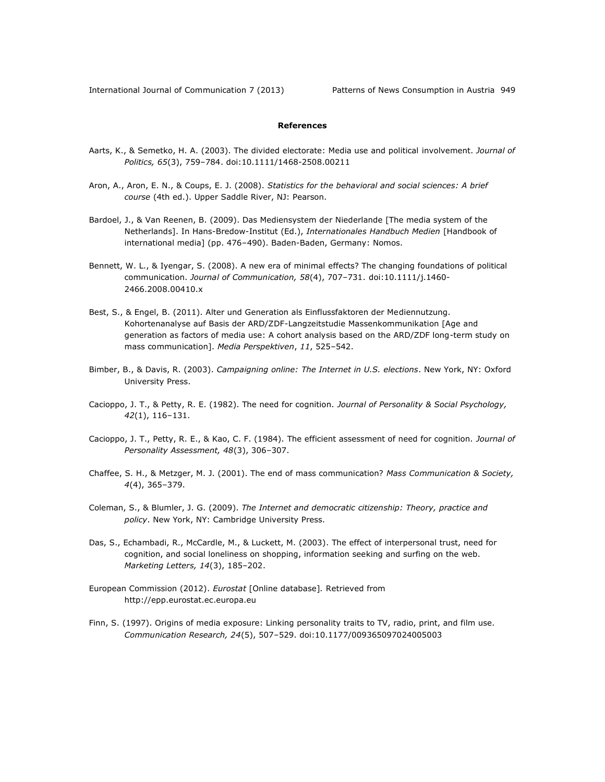### **References**

- Aarts, K., & Semetko, H. A. (2003). The divided electorate: Media use and political involvement. *Journal of Politics, 65*(3), 759–784. doi:10.1111/1468-2508.00211
- Aron, A., Aron, E. N., & Coups, E. J. (2008). *Statistics for the behavioral and social sciences: A brief course* (4th ed.). Upper Saddle River, NJ: Pearson.
- Bardoel, J., & Van Reenen, B. (2009). Das Mediensystem der Niederlande [The media system of the Netherlands]. In Hans-Bredow-Institut (Ed.), *Internationales Handbuch Medien* [Handbook of international media] (pp. 476–490). Baden-Baden, Germany: Nomos.
- Bennett, W. L., & Iyengar, S. (2008). A new era of minimal effects? The changing foundations of political communication. *Journal of Communication, 58*(4), 707–731. doi:10.1111/j.1460- 2466.2008.00410.x
- Best, S., & Engel, B. (2011). Alter und Generation als Einflussfaktoren der Mediennutzung. Kohortenanalyse auf Basis der ARD/ZDF-Langzeitstudie Massenkommunikation [Age and generation as factors of media use: A cohort analysis based on the ARD/ZDF long-term study on mass communication]. *Media Perspektiven*, *11*, 525–542.
- Bimber, B., & Davis, R. (2003). *Campaigning online: The Internet in U.S. elections*. New York, NY: Oxford University Press.
- Cacioppo, J. T., & Petty, R. E. (1982). The need for cognition. *Journal of Personality & Social Psychology, 42*(1), 116–131.
- Cacioppo, J. T., Petty, R. E., & Kao, C. F. (1984). The efficient assessment of need for cognition. *Journal of Personality Assessment, 48*(3), 306–307.
- Chaffee, S. H., & Metzger, M. J. (2001). The end of mass communication? *Mass Communication & Society, 4*(4), 365–379.
- Coleman, S., & Blumler, J. G. (2009). *The Internet and democratic citizenship: Theory, practice and policy*. New York, NY: Cambridge University Press.
- Das, S., Echambadi, R., McCardle, M., & Luckett, M. (2003). The effect of interpersonal trust, need for cognition, and social loneliness on shopping, information seeking and surfing on the web. *Marketing Letters, 14*(3), 185–202.
- European Commission (2012). *Eurostat* [Online database]*.* Retrieved from [http://epp.eurostat.ec.europa.eu](http://epp.eurostat.ec.europa.eu/)
- Finn, S. (1997). Origins of media exposure: Linking personality traits to TV, radio, print, and film use. *Communication Research, 24*(5), 507–529. doi:10.1177/009365097024005003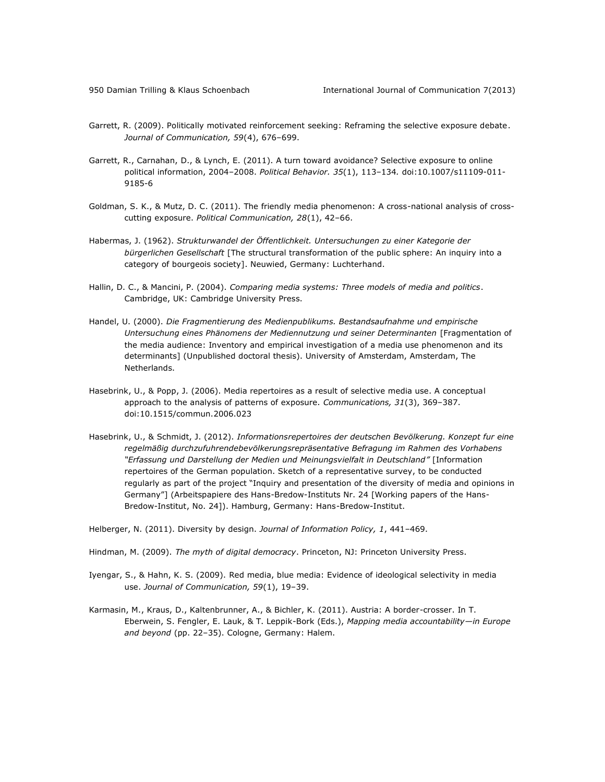- Garrett, R. (2009). Politically motivated reinforcement seeking: Reframing the selective exposure debate. *Journal of Communication, 59*(4), 676–699.
- Garrett, R., Carnahan, D., & Lynch, E. (2011). A turn toward avoidance? Selective exposure to online political information, 2004–2008. *Political Behavior. 35*(1), 113–134*.* doi:10.1007/s11109-011- 9185-6
- Goldman, S. K., & Mutz, D. C. (2011). The friendly media phenomenon: A cross-national analysis of crosscutting exposure. *Political Communication, 28*(1), 42–66.
- Habermas, J. (1962). *Strukturwandel der Öffentlichkeit. Untersuchungen zu einer Kategorie der bürgerlichen Gesellschaft* [The structural transformation of the public sphere: An inquiry into a category of bourgeois society]. Neuwied, Germany: Luchterhand.
- Hallin, D. C., & Mancini, P. (2004). *Comparing media systems: Three models of media and politics*. Cambridge, UK: Cambridge University Press.
- Handel, U. (2000). *Die Fragmentierung des Medienpublikums. Bestandsaufnahme und empirische Untersuchung eines Phänomens der Mediennutzung und seiner Determinanten* [Fragmentation of the media audience: Inventory and empirical investigation of a media use phenomenon and its determinants] (Unpublished doctoral thesis). University of Amsterdam, Amsterdam, The Netherlands.
- Hasebrink, U., & Popp, J. (2006). Media repertoires as a result of selective media use. A conceptual approach to the analysis of patterns of exposure. *Communications, 31*(3), 369–387. doi:10.1515/commun.2006.023
- Hasebrink, U., & Schmidt, J. (2012). *Informationsrepertoires der deutschen Bevölkerung. Konzept fur eine regelmäßig durchzufuhrendebevölkerungsrepräsentative Befragung im Rahmen des Vorhabens "Erfassung und Darstellung der Medien und Meinungsvielfalt in Deutschland"* [Information repertoires of the German population. Sketch of a representative survey, to be conducted regularly as part of the project "Inquiry and presentation of the diversity of media and opinions in Germany"] (Arbeitspapiere des Hans-Bredow-Instituts Nr. 24 [Working papers of the Hans-Bredow-Institut, No. 24]). Hamburg, Germany: Hans-Bredow-Institut.

Helberger, N. (2011). Diversity by design. *Journal of Information Policy, 1*, 441–469.

- Hindman, M. (2009). *The myth of digital democracy*. Princeton, NJ: Princeton University Press.
- Iyengar, S., & Hahn, K. S. (2009). Red media, blue media: Evidence of ideological selectivity in media use. *Journal of Communication, 59*(1), 19–39.
- Karmasin, M., Kraus, D., Kaltenbrunner, A., & Bichler, K. (2011). Austria: A border-crosser. In T. Eberwein, S. Fengler, E. Lauk, & T. Leppik-Bork (Eds.), *Mapping media accountability—in Europe and beyond* (pp. 22–35). Cologne, Germany: Halem.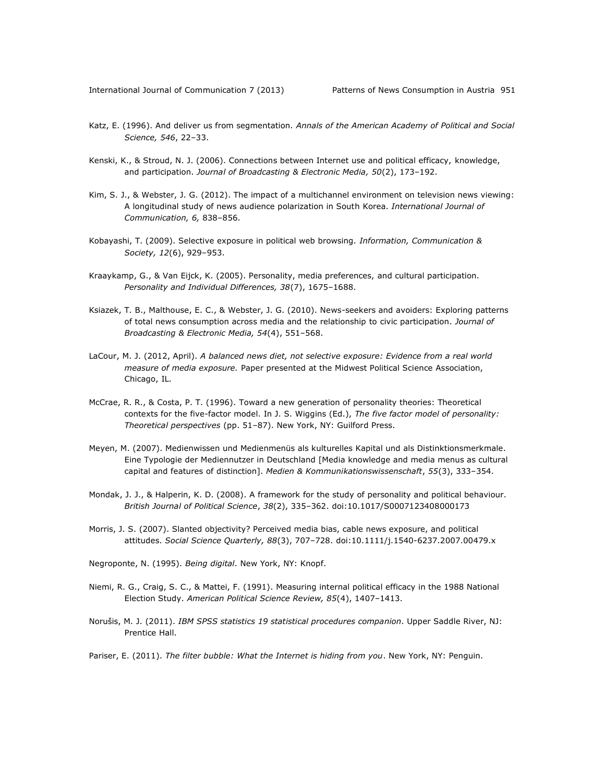- Katz, E. (1996). And deliver us from segmentation. *Annals of the American Academy of Political and Social Science, 546*, 22–33.
- Kenski, K., & Stroud, N. J. (2006). Connections between Internet use and political efficacy, knowledge, and participation. *Journal of Broadcasting & Electronic Media, 50*(2), 173–192.
- Kim, S. J., & Webster, J. G. (2012). The impact of a multichannel environment on television news viewing: A longitudinal study of news audience polarization in South Korea. *International Journal of Communication, 6,* 838–856.
- Kobayashi, T. (2009). Selective exposure in political web browsing. *Information, Communication & Society, 12*(6), 929–953.
- Kraaykamp, G., & Van Eijck, K. (2005). Personality, media preferences, and cultural participation. *Personality and Individual Differences, 38*(7), 1675–1688.
- Ksiazek, T. B., Malthouse, E. C., & Webster, J. G. (2010). News-seekers and avoiders: Exploring patterns of total news consumption across media and the relationship to civic participation. *Journal of Broadcasting & Electronic Media, 54*(4), 551–568.
- LaCour, M. J. (2012, April). *A balanced news diet, not selective exposure: Evidence from a real world measure of media exposure.* Paper presented at the Midwest Political Science Association, Chicago, IL.
- McCrae, R. R., & Costa, P. T. (1996). Toward a new generation of personality theories: Theoretical contexts for the five-factor model. In J. S. Wiggins (Ed.), *The five factor model of personality: Theoretical perspectives* (pp. 51–87). New York, NY: Guilford Press.
- Meyen, M. (2007). Medienwissen und Medienmenüs als kulturelles Kapital und als Distinktionsmerkmale. Eine Typologie der Mediennutzer in Deutschland [Media knowledge and media menus as cultural capital and features of distinction]. *Medien & Kommunikationswissenschaft*, *55*(3), 333–354.
- Mondak, J. J., & Halperin, K. D. (2008). A framework for the study of personality and political behaviour. *British Journal of Political Science*, *38*(2), 335–362. doi:10.1017/S0007123408000173
- Morris, J. S. (2007). Slanted objectivity? Perceived media bias, cable news exposure, and political attitudes. *Social Science Quarterly, 88*(3), 707–728. doi:10.1111/j.1540-6237.2007.00479.x
- Negroponte, N. (1995). *Being digital*. New York, NY: Knopf.
- Niemi, R. G., Craig, S. C., & Mattei, F. (1991). Measuring internal political efficacy in the 1988 National Election Study. *American Political Science Review, 85*(4), 1407–1413.
- Norušis, M. J. (2011). *IBM SPSS statistics 19 statistical procedures companion*. Upper Saddle River, NJ: Prentice Hall.
- Pariser, E. (2011). *The filter bubble: What the Internet is hiding from you*. New York, NY: Penguin.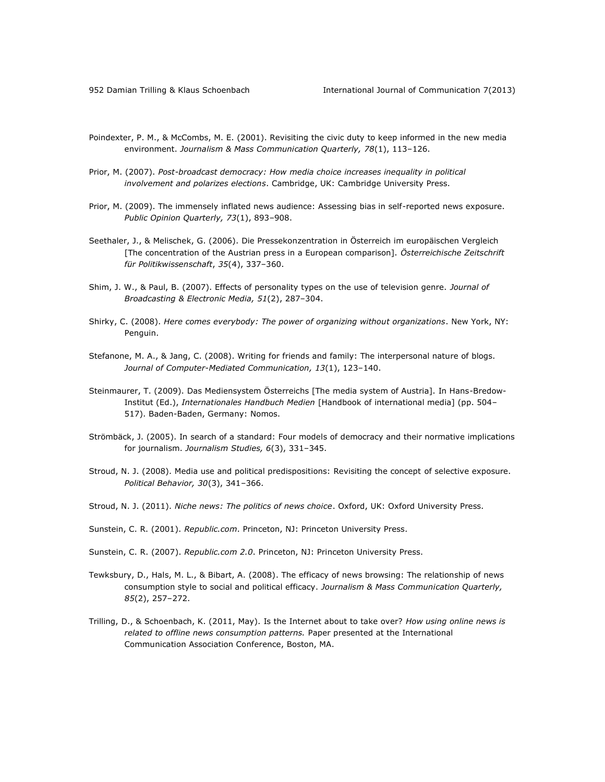- Poindexter, P. M., & McCombs, M. E. (2001). Revisiting the civic duty to keep informed in the new media environment. *Journalism & Mass Communication Quarterly, 78*(1), 113–126.
- Prior, M. (2007). *Post-broadcast democracy: How media choice increases inequality in political involvement and polarizes elections*. Cambridge, UK: Cambridge University Press.
- Prior, M. (2009). The immensely inflated news audience: Assessing bias in self-reported news exposure. *Public Opinion Quarterly, 73*(1), 893–908.
- Seethaler, J., & Melischek, G. (2006). Die Pressekonzentration in Österreich im europäischen Vergleich [The concentration of the Austrian press in a European comparison]. *Österreichische Zeitschrift für Politikwissenschaft*, *35*(4), 337–360.
- Shim, J. W., & Paul, B. (2007). Effects of personality types on the use of television genre. *Journal of Broadcasting & Electronic Media, 51*(2), 287–304.
- Shirky, C. (2008). *Here comes everybody: The power of organizing without organizations*. New York, NY: Penguin.
- Stefanone, M. A., & Jang, C. (2008). Writing for friends and family: The interpersonal nature of blogs. *Journal of Computer-Mediated Communication, 13*(1), 123–140.
- Steinmaurer, T. (2009). Das Mediensystem Österreichs [The media system of Austria]. In Hans-Bredow-Institut (Ed.), *Internationales Handbuch Medien* [Handbook of international media] (pp. 504– 517). Baden-Baden, Germany: Nomos.
- Strömbäck, J. (2005). In search of a standard: Four models of democracy and their normative implications for journalism. *Journalism Studies, 6*(3), 331–345.
- Stroud, N. J. (2008). Media use and political predispositions: Revisiting the concept of selective exposure. *Political Behavior, 30*(3), 341–366.
- Stroud, N. J. (2011). *Niche news: The politics of news choice*. Oxford, UK: Oxford University Press.
- Sunstein, C. R. (2001). *Republic.com*. Princeton, NJ: Princeton University Press.
- Sunstein, C. R. (2007). *Republic.com 2.0*. Princeton, NJ: Princeton University Press.
- Tewksbury, D., Hals, M. L., & Bibart, A. (2008). The efficacy of news browsing: The relationship of news consumption style to social and political efficacy. *Journalism & Mass Communication Quarterly, 85*(2), 257–272.
- Trilling, D., & Schoenbach, K. (2011, May). Is the Internet about to take over? *How using online news is related to offline news consumption patterns.* Paper presented at the International Communication Association Conference, Boston, MA.